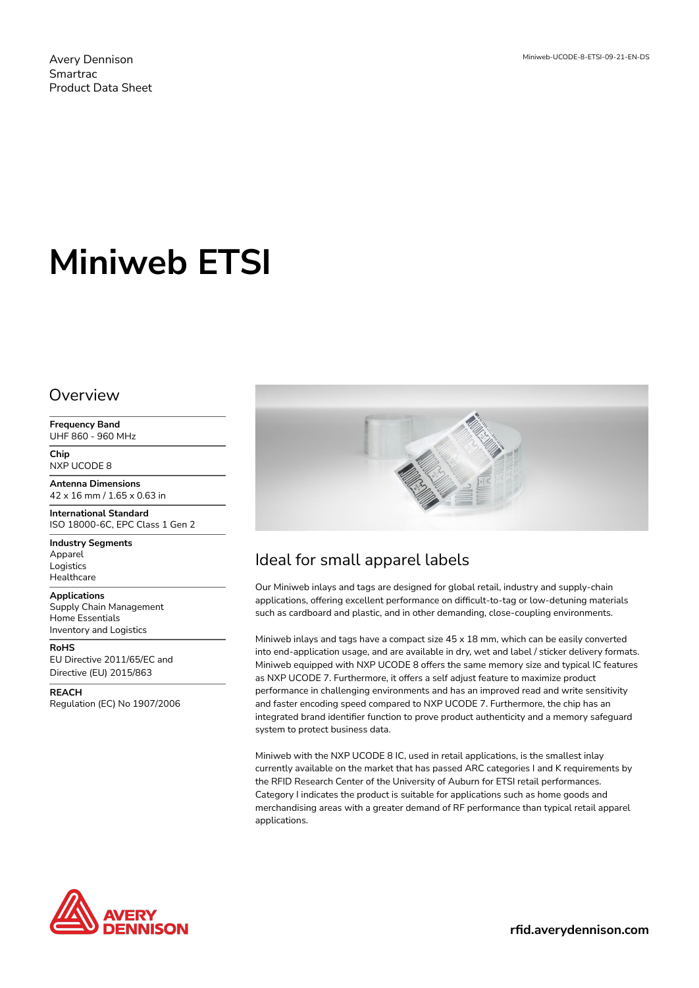Avery Dennison Smartrac Product Data Sheet

# **Miniweb ETSI**

#### Overview

**Frequency Band** UHF 860 - 960 MHz

**Chip** NXP UCODE 8

**Antenna Dimensions** 42 x 16 mm / 1.65 x 0.63 in

**International Standard** ISO 18000-6C, EPC Class 1 Gen 2

**Industry Segments** Apparel Logistics **Healthcare** 

**Applications** Supply Chain Management Home Essentials Inventory and Logistics

**RoHS** EU Directive 2011/65/EC and Directive (EU) 2015/863

**REACH** Regulation (EC) No 1907/2006



## Ideal for small apparel labels

Our Miniweb inlays and tags are designed for global retail, industry and supply-chain applications, offering excellent performance on difficult-to-tag or low-detuning materials such as cardboard and plastic, and in other demanding, close-coupling environments.

Miniweb inlays and tags have a compact size 45 x 18 mm, which can be easily converted into end-application usage, and are available in dry, wet and label / sticker delivery formats. Miniweb equipped with NXP UCODE 8 offers the same memory size and typical IC features as NXP UCODE 7. Furthermore, it offers a self adjust feature to maximize product performance in challenging environments and has an improved read and write sensitivity and faster encoding speed compared to NXP UCODE 7. Furthermore, the chip has an integrated brand identifier function to prove product authenticity and a memory safeguard system to protect business data.

Miniweb with the NXP UCODE 8 IC, used in retail applications, is the smallest inlay currently available on the market that has passed ARC categories I and K requirements by the RFID Research Center of the University of Auburn for ETSI retail performances. Category I indicates the product is suitable for applications such as home goods and merchandising areas with a greater demand of RF performance than typical retail apparel applications.